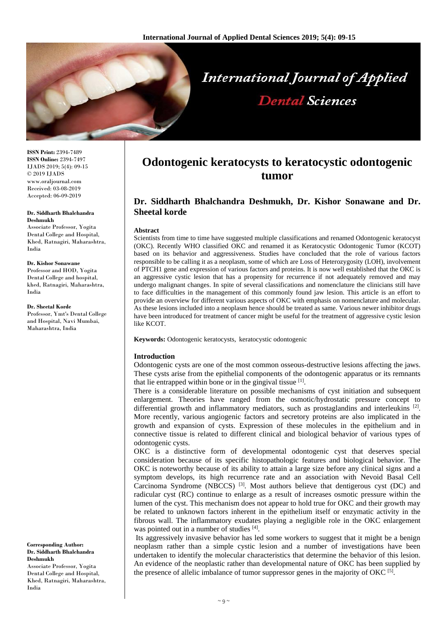

**ISSN Print:** 2394-7489 **ISSN Online:** 2394-7497 IJADS 2019; 5(4): 09-15 © 2019 IJADS www.oraljournal.com Received: 03-08-2019 Accepted: 06-09-2019

#### **Dr. Siddharth Bhalchandra Deshmukh**

Associate Professor, Yogita Dental College and Hospital, Khed, Ratnagiri, Maharashtra, India

**Dr. Kishor Sonawane** Professor and HOD, Yogita Dental College and hospital, khed, Ratnagiri, Maharashtra, India

**Dr. Sheetal Korde** Professor, Ymt's Dental College and Hospital, Navi Mumbai, Maharashtra, India

**Corresponding Author: Dr. Siddharth Bhalchandra Deshmukh**

Associate Professor, Yogita Dental College and Hospital, Khed, Ratnagiri, Maharashtra, India

# **Odontogenic keratocysts to keratocystic odontogenic tumor**

## **Dr. Siddharth Bhalchandra Deshmukh, Dr. Kishor Sonawane and Dr. Sheetal korde**

#### **Abstract**

Scientists from time to time have suggested multiple classifications and renamed Odontogenic keratocyst (OKC). Recently WHO classified OKC and renamed it as Keratocystic Odontogenic Tumor (KCOT) based on its behavior and aggressiveness. Studies have concluded that the role of various factors responsible to be calling it as a neoplasm, some of which are Loss of Heterozygosity (LOH), involvement of PTCH1 gene and expression of various factors and proteins. It is now well established that the OKC is an aggressive cystic lesion that has a propensity for recurrence if not adequately removed and may undergo malignant changes. In spite of several classifications and nomenclature the clinicians still have to face difficulties in the management of this commonly found jaw lesion. This article is an effort to provide an overview for different various aspects of OKC with emphasis on nomenclature and molecular. As these lesions included into a neoplasm hence should be treated as same. Various newer inhibitor drugs have been introduced for treatment of cancer might be useful for the treatment of aggressive cystic lesion like KCOT.

**Keywords:** Odontogenic keratocysts, keratocystic odontogenic

#### **Introduction**

Odontogenic cysts are one of the most common osseous-destructive lesions affecting the jaws. These cysts arise from the epithelial components of the odontogenic apparatus or its remnants that lie entrapped within bone or in the gingival tissue [1].

There is a considerable literature on possible mechanisms of cyst initiation and subsequent enlargement. Theories have ranged from the osmotic/hydrostatic pressure concept to differential growth and inflammatory mediators, such as prostaglandins and interleukins [2]. More recently, various angiogenic factors and secretory proteins are also implicated in the growth and expansion of cysts. Expression of these molecules in the epithelium and in connective tissue is related to different clinical and biological behavior of various types of odontogenic cysts.

OKC is a distinctive form of developmental odontogenic cyst that deserves special consideration because of its specific histopathologic features and biological behavior. The OKC is noteworthy because of its ability to attain a large size before any clinical signs and a symptom develops, its high recurrence rate and an association with Nevoid Basal Cell Carcinoma Syndrome (NBCCS)  $^{[3]}$ . Most authors believe that dentigerous cyst (DC) and radicular cyst (RC) continue to enlarge as a result of increases osmotic pressure within the lumen of the cyst. This mechanism does not appear to hold true for OKC and their growth may be related to unknown factors inherent in the epithelium itself or enzymatic activity in the fibrous wall. The inflammatory exudates playing a negligible role in the OKC enlargement was pointed out in a number of studies [4].

Its aggressively invasive behavior has led some workers to suggest that it might be a benign neoplasm rather than a simple cystic lesion and a number of investigations have been undertaken to identify the molecular characteristics that determine the behavior of this lesion. An evidence of the neoplastic rather than developmental nature of OKC has been supplied by the presence of allelic imbalance of tumor suppressor genes in the majority of OKC<sup>[5]</sup>.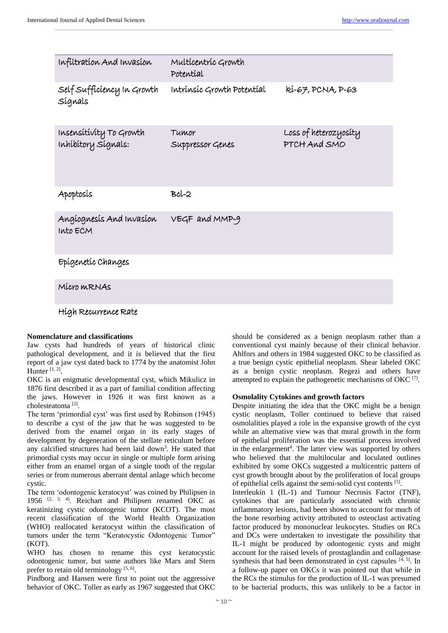| Infiltration And Invasion                      | Multícentríc Growth<br>Potentíal |                                       |
|------------------------------------------------|----------------------------------|---------------------------------------|
| Self Sufficiency In Growth<br>Sígnals          | Intrínsic Growth Potential       | kí-67, PCNA, P-63                     |
| Insensitivity To Growth<br>Inhibitory Signals: | Tumor<br>Suppressor Genes        | Loss of heterozyosity<br>PTCH And SMO |
| Apoptosís                                      | $Bcl-2$                          |                                       |
| Angíognesis And Invasion<br>Into ECM           | VEGF and MMP-9                   |                                       |
| Epígenetíc Changes                             |                                  |                                       |
| Mícro MRNAS                                    |                                  |                                       |
| Hígh Recurrence Rate                           |                                  |                                       |

#### **Nomenclature and classifications**

Jaw cysts had hundreds of years of historical clinic pathological development, and it is believed that the first report of a jaw cyst dated back to 1774 by the anatomist John Hunter<sup>[1,2]</sup>.

OKC is an enigmatic developmental cyst, which Mikulicz in 1876 first described it as a part of familial condition affecting the jaws. However in 1926 it was first known as a cholesteatoma [2] .

The term 'primordial cyst' was first used by Robinson (1945) to describe a cyst of the jaw that he was suggested to be derived from the enamel organ in its early stages of development by degeneration of the stellate reticulum before any calcified structures had been laid down<sup>3</sup>. He stated that primordial cysts may occur in single or multiple form arising either from an enamel organ of a single tooth of the regular series or from numerous aberrant dental anlage which become cystic.

The term 'odontogenic keratocyst' was coined by Philipsen in 1956 [2, 3, 4] . Reichart and Philipsen renamed OKC as keratinizing cystic odontogenic tumor (KCOT). The most recent classification of the World Health Organization (WHO) reallocated keratocyst within the classification of tumors under the term "Keratocystic Odontogenic Tumor" (KOT).

WHO has chosen to rename this cyst keratocystic odontogenic tumor, but some authors like Marx and Stern prefer to retain old terminology<sup>[5, 6]</sup>.

Pindborg and Hansen were first to point out the aggressive behavior of OKC. Toller as early as 1967 suggested that OKC

should be considered as a benign neoplasm rather than a conventional cyst mainly because of their clinical behavior. Ahlfors and others in 1984 suggested OKC to be classified as a true benign cystic epithelial neoplasm. Shear labeled OKC as a benign cystic neoplasm. Regezi and others have attempted to explain the pathogenetic mechanisms of OKC [7] .

#### **Osmolality Cytokines and growth factors**

Despite initiating the idea that the OKC might be a benign cystic neoplasm, Toller continued to believe that raised osmolalities played a role in the expansive growth of the cyst while an alternative view was that mural growth in the form of epithelial proliferation was the essential process involved in the enlargement<sup>4</sup>. The latter view was supported by others who believed that the multilocular and loculated outlines exhibited by some OKCs suggested a multicentric pattern of cyst growth brought about by the proliferation of local groups of epithelial cells against the semi-solid cyst contents [5].

Interleukin 1 (IL-1) and Tumour Necrosis Factor (TNF), cytokines that are particularly associated with chronic inflammatory lesions, had been shown to account for much of the bone resorbing activity attributed to osteoclast activating factor produced by mononuclear leukocytes. Studies on RCs and DCs were undertaken to investigate the possibility that IL-1 might be produced by odontogenic cysts and might account for the raised levels of prostaglandin and collagenase synthesis that had been demonstrated in cyst capsules [4, 5]. In a follow-up paper on OKCs it was pointed out that while in the RCs the stimulus for the production of IL-1 was presumed to be bacterial products, this was unlikely to be a factor in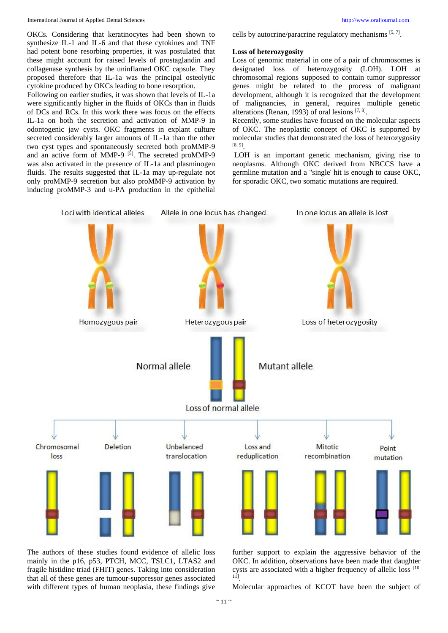International Journal of Applied Dental Sciences [http://www.oraljournal.com](http://www.oraljournal.com/)

OKCs. Considering that keratinocytes had been shown to synthesize IL-1 and IL-6 and that these cytokines and TNF had potent bone resorbing properties, it was postulated that these might account for raised levels of prostaglandin and collagenase synthesis by the uninflamed OKC capsule. They proposed therefore that IL-1a was the principal osteolytic cytokine produced by OKCs leading to bone resorption.

Following on earlier studies, it was shown that levels of IL-1a were significantly higher in the fluids of OKCs than in fluids of DCs and RCs. In this work there was focus on the effects IL-1a on both the secretion and activation of MMP-9 in odontogenic jaw cysts. OKC fragments in explant culture secreted considerably larger amounts of IL-1a than the other two cyst types and spontaneously secreted both proMMP-9 and an active form of MMP-9<sup>[5]</sup>. The secreted proMMP-9 was also activated in the presence of IL-1a and plasminogen fluids. The results suggested that IL-1a may up-regulate not only proMMP-9 secretion but also proMMP-9 activation by inducing proMMP-3 and u-PA production in the epithelial

cells by autocrine/paracrine regulatory mechanisms [5,7].

#### **Loss of heterozygosity**

Loss of genomic material in one of a pair of chromosomes is designated loss of heterozygosity (LOH). LOH at chromosomal regions supposed to contain tumor suppressor genes might be related to the process of malignant development, although it is recognized that the development of malignancies, in general, requires multiple genetic alterations (Renan, 1993) of oral lesions [7, 8].

Recently, some studies have focused on the molecular aspects of OKC. The neoplastic concept of OKC is supported by molecular studies that demonstrated the loss of heterozygosity  $[8, 9]$ <sub>.</sub>

LOH is an important genetic mechanism, giving rise to neoplasms. Although OKC derived from NBCCS have a germline mutation and a "single' hit is enough to cause OKC, for sporadic OKC, two somatic mutations are required.



The authors of these studies found evidence of allelic loss mainly in the p16, p53, PTCH, MCC, TSLC1, LTAS2 and fragile histidine triad (FHIT) genes. Taking into consideration that all of these genes are tumour-suppressor genes associated with different types of human neoplasia, these findings give

further support to explain the aggressive behavior of the OKC. In addition, observations have been made that daughter cysts are associated with a higher frequency of allelic loss [10, 11] .

Molecular approaches of KCOT have been the subject of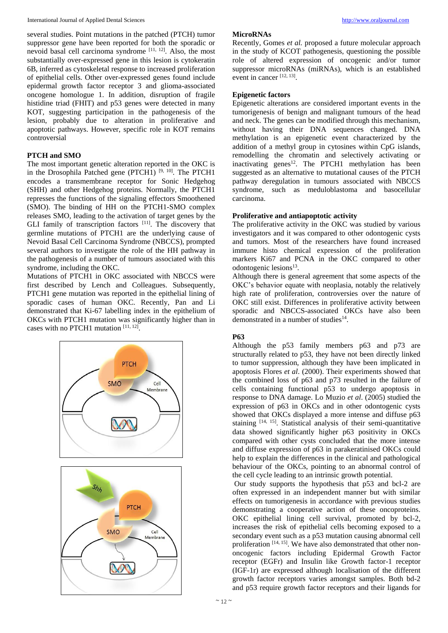several studies. Point mutations in the patched (PTCH) tumor suppressor gene have been reported for both the sporadic or nevoid basal cell carcinoma syndrome [11, 12]. Also, the most substantially over-expressed gene in this lesion is cytokeratin 6B, inferred as cytoskeletal response to increased proliferation of epithelial cells. Other over-expressed genes found include epidermal growth factor receptor 3 and glioma-associated oncogene homologue 1. In addition, disruption of fragile histidine triad (FHIT) and p53 genes were detected in many KOT, suggesting participation in the pathogenesis of the lesion, probably due to alteration in proliferative and apoptotic pathways. However, specific role in KOT remains controversial

## **PTCH and SMO**

The most important genetic alteration reported in the OKC is in the Drosophila Patched gene (PTCH1)  $[9, 10]$ . The PTCH1 encodes a transmembrane receptor for Sonic Hedgehog (SHH) and other Hedgehog proteins. Normally, the PTCH1 represses the functions of the signaling effectors Smoothened (SMO). The binding of HH on the PTCH1-SMO complex releases SMO, leading to the activation of target genes by the GLI family of transcription factors [11]. The discovery that germline mutations of PTCH1 are the underlying cause of Nevoid Basal Cell Carcinoma Syndrome (NBCCS), prompted several authors to investigate the role of the HH pathway in the pathogenesis of a number of tumours associated with this syndrome, including the OKC.

Mutations of PTCH1 in OKC associated with NBCCS were first described by Lench and Colleagues. Subsequently, PTCH1 gene mutation was reported in the epithelial lining of sporadic cases of human OKC. Recently, Pan and Li demonstrated that Ki-67 labelling index in the epithelium of OKCs with PTCH1 mutation was significantly higher than in cases with no PTCH1 mutation [11, 12].



#### **MicroRNAs**

Recently, Gomes *et al.* proposed a future molecular approach in the study of KCOT pathogenesis, questioning the possible role of altered expression of oncogenic and/or tumor suppressor microRNAs (miRNAs), which is an established event in cancer<sup>[12, 13]</sup>.

## **Epigenetic factors**

Epigenetic alterations are considered important events in the tumorigenesis of benign and malignant tumours of the head and neck. The genes can be modified through this mechanism, without having their DNA sequences changed. DNA methylation is an epigenetic event characterized by the addition of a methyl group in cytosines within CpG islands, remodelling the chromatin and selectively activating or inactivating genes<sup>12</sup>. The PTCH1 methylation has been suggested as an alternative to mutational causes of the PTCH pathway deregulation in tumours associated with NBCCS syndrome, such as meduloblastoma and basocellular carcinoma.

## **Proliferative and antiapoptotic activity**

The proliferative activity in the OKC was studied by various investigators and it was compared to other odontogenic cysts and tumors. Most of the researchers have found increased immune histo chemical expression of the proliferation markers Ki67 and PCNA in the OKC compared to other odontogenic lesions<sup>13</sup>.

Although there is general agreement that some aspects of the OKC's behavior equate with neoplasia, notably the relatively high rate of proliferation, controversies over the nature of OKC still exist. Differences in proliferative activity between sporadic and NBCCS-associated OKCs have also been demonstrated in a number of studies<sup>14</sup>.

## **P63**

Although the p53 family members p63 and p73 are structurally related to p53, they have not been directly linked to tumor suppression, although they have been implicated in apoptosis Flores *et al*. (2000). Their experiments showed that the combined loss of p63 and p73 resulted in the failure of cells containing functional p53 to undergo apoptosis in response to DNA damage. Lo Muzio *et al*. (2005) studied the expression of p63 in OKCs and in other odontogenic cysts showed that OKCs displayed a more intense and diffuse p63 staining [14, 15]. Statistical analysis of their semi-quantitative data showed significantly higher p63 positivity in OKCs compared with other cysts concluded that the more intense and diffuse expression of p63 in parakeratinised OKCs could help to explain the differences in the clinical and pathological behaviour of the OKCs, pointing to an abnormal control of the cell cycle leading to an intrinsic growth potential.

Our study supports the hypothesis that p53 and bcl-2 are often expressed in an independent manner but with similar effects on tumorigenesis in accordance with previous studies demonstrating a cooperative action of these oncoproteins. OKC epithelial lining cell survival, promoted by bcl-2, increases the risk of epithelial cells becoming exposed to a secondary event such as a p53 mutation causing abnormal cell proliferation [14, 15]. We have also demonstrated that other nononcogenic factors including Epidermal Growth Factor receptor (EGFr) and Insulin like Growth factor-1 receptor (IGF-1r) are expressed although localisation of the different growth factor receptors varies amongst samples. Both bd-2 and p53 require growth factor receptors and their ligands for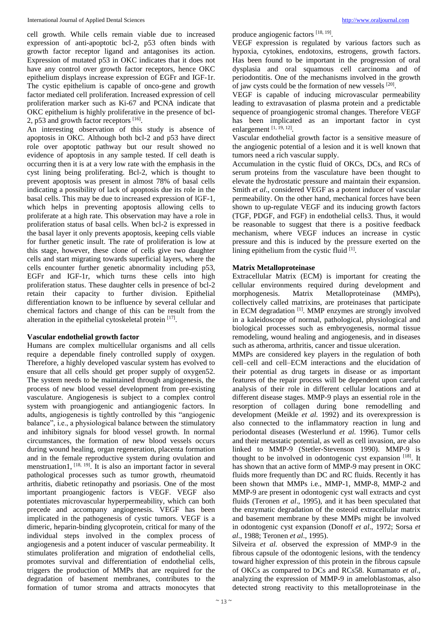cell growth. While cells remain viable due to increased expression of anti-apoptotic bcl-2, p53 often binds with growth factor receptor ligand and antagonises its action. Expression of mutated p53 in OKC indicates that it does not have any control over growth factor receptors, hence OKC epithelium displays increase expression of EGFr and IGF-1r. The cystic epithelium is capable of onco-gene and growth factor mediated cell proliferation. Increased expression of cell proliferation marker such as Ki-67 and PCNA indicate that OKC epithelium is highly proliferative in the presence of bcl-2, p53 and growth factor receptors [16].

An interesting observation of this study is absence of apoptosis in OKC. Although both bcl-2 and p53 have direct role over apoptotic pathway but our result showed no evidence of apoptosis in any sample tested. If cell death is occurring then it is at a very low rate with the emphasis in the cyst lining being proliferating. Bcl-2, which is thought to prevent apoptosis was present in almost 78% of basal cells indicating a possibility of lack of apoptosis due its role in the basal cells. This may be due to increased expression of IGF-1, which helps in preventing apoptosis allowing cells to proliferate at a high rate. This observation may have a role in proliferation status of basal cells. When bcl-2 is expressed in the basal layer it only prevents apoptosis, keeping cells viable for further genetic insult. The rate of proliferation is low at this stage, however, these clone of cells give two daughter cells and start migrating towards superficial layers, where the cells encounter further genetic abnormality including p53, EGFr and IGF-1r, which turns these cells into high proliferation status. These daughter cells in presence of bcl-2 retain their capacity to further division. Epithelial differentiation known to be influence by several cellular and chemical factors and change of this can be result from the alteration in the epithelial cytoskeletal protein  $[17]$ .

#### **Vascular endothelial growth factor**

Humans are complex multicellular organisms and all cells require a dependable finely controlled supply of oxygen. Therefore, a highly developed vascular system has evolved to ensure that all cells should get proper supply of oxygen52. The system needs to be maintained through angiogenesis, the process of new blood vessel development from pre-existing vasculature. Angiogenesis is subject to a complex control system with proangiogenic and antiangiogenic factors. In adults, angiogenesis is tightly controlled by this "angiogenic balance", i.e., a physiological balance between the stimulatory and inhibitory signals for blood vessel growth. In normal circumstances, the formation of new blood vessels occurs during wound healing, organ regeneration, placenta formation and in the female reproductive system during ovulation and menstruation1, <sup>[18, 19]</sup>. It is also an important factor in several pathological processes such as tumor growth, rheumatoid arthritis, diabetic retinopathy and psoriasis. One of the most important proangiogenic factors is VEGF. VEGF also potentiates microvascular hyperpermeability, which can both precede and accompany angiogenesis. VEGF has been implicated in the pathogenesis of cystic tumors. VEGF is a dimeric, heparin-binding glycoprotein, critical for many of the individual steps involved in the complex process of angiogenesis and a potent inducer of vascular permeability. It stimulates proliferation and migration of endothelial cells, promotes survival and differentiation of endothelial cells, triggers the production of MMPs that are required for the degradation of basement membranes, contributes to the formation of tumor stroma and attracts monocytes that

produce angiogenic factors [18, 19].

VEGF expression is regulated by various factors such as hypoxia, cytokines, endotoxins, estrogens, growth factors. Has been found to be important in the progression of oral dysplasia and oral squamous cell carcinoma and of periodontitis. One of the mechanisms involved in the growth of jaw cysts could be the formation of new vessels [20] .

VEGF is capable of inducing microvascular permeability leading to extravasation of plasma protein and a predictable sequence of proangiogenic stromal changes. Therefore VEGF has been implicated as an important factor in cyst enlargement [1, 19, 12].

Vascular endothelial growth factor is a sensitive measure of the angiogenic potential of a lesion and it is well known that tumors need a rich vascular supply.

Accumulation in the cystic fluid of OKCs, DCs, and RCs of serum proteins from the vasculature have been thought to elevate the hydrostatic pressure and maintain their expansion. Smith *et al*., considered VEGF as a potent inducer of vascular permeability. On the other hand, mechanical forces have been shown to up-regulate VEGF and its inducing growth factors (TGF, PDGF, and FGF) in endothelial cells3. Thus, it would be reasonable to suggest that there is a positive feedback mechanism, where VEGF induces an increase in cystic pressure and this is induced by the pressure exerted on the lining epithelium from the cystic fluid [1].

#### **Matrix Metalloproteinase**

Extracellular Matrix (ECM) is important for creating the cellular environments required during development and morphogenesis. Matrix Metalloproteinase (MMPs), collectively called matrixins, are proteinases that participate in ECM degradation [1]. MMP enzymes are strongly involved in a kaleidoscope of normal, pathological, physiological and biological processes such as embryogenesis, normal tissue remodeling, wound healing and angiogenesis, and in diseases such as atheroma, arthritis, cancer and tissue ulceration.

MMPs are considered key players in the regulation of both cell–cell and cell–ECM interactions and the elucidation of their potential as drug targets in disease or as important features of the repair process will be dependent upon careful analysis of their role in different cellular locations and at different disease stages. MMP-9 plays an essential role in the resorption of collagen during bone remodelling and development (Meikle *et al.* 1992) and its overexpression is also connected to the inflammatory reaction in lung and periodontal diseases (Westerlund *et al.* 1996). Tumor cells and their metastatic potential, as well as cell invasion, are also linked to MMP-9 (Stetler-Stevenson 1990). MMP-9 is thought to be involved in odontogenic cyst expansion  $[18]$ . It has shown that an active form of MMP-9 may present in OKC fluids more frequently than DC and RC fluids. Recently it has been shown that MMPs i.e., MMP-1, MMP-8, MMP-2 and MMP-9 are present in odontogenic cyst wall extracts and cyst fluids (Teronen *et al*., 1995), and it has been speculated that the enzymatic degradation of the osteoid extracellular matrix and basement membrane by these MMPs might be involved in odontogenic cyst expansion (Donoff *et al*., 1972; Sorsa *et al*., 1988; Teronen *et al*., 1995).

Silveira *et al.* observed the expression of MMP-9 in the fibrous capsule of the odontogenic lesions, with the tendency toward higher expression of this protein in the fibrous capsule of OKCs as compared to DCs and RCs58. Kumamato *et al*., analyzing the expression of MMP-9 in ameloblastomas, also detected strong reactivity to this metalloproteinase in the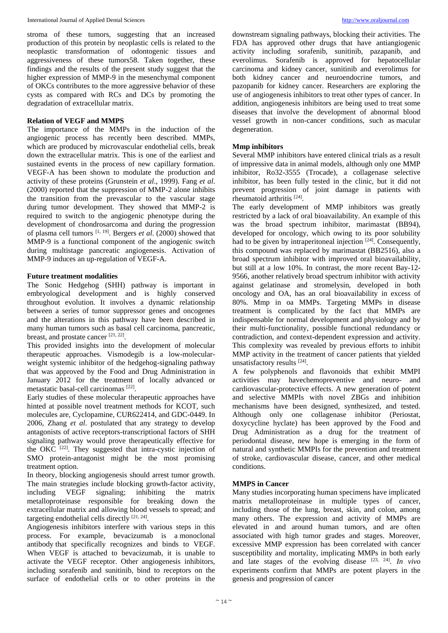stroma of these tumors, suggesting that an increased production of this protein by neoplastic cells is related to the neoplastic transformation of odontogenic tissues and aggressiveness of these tumors58. Taken together, these findings and the results of the present study suggest that the higher expression of MMP-9 in the mesenchymal component of OKCs contributes to the more aggressive behavior of these cysts as compared with RCs and DCs by promoting the degradation of extracellular matrix.

## **Relation of VEGF and MMPS**

The importance of the MMPs in the induction of the angiogenic process has recently been described. MMPs, which are produced by microvascular endothelial cells, break down the extracellular matrix. This is one of the earliest and sustained events in the process of new capillary formation. VEGF-A has been shown to modulate the production and activity of these proteins (Grunstein *et al*., 1999). Fang *et al*. (2000) reported that the suppression of MMP-2 alone inhibits the transition from the prevascular to the vascular stage during tumor development. They showed that MMP-2 is required to switch to the angiogenic phenotype during the development of chondrosarcoma and during the progression of plasma cell tumors [1, 19] . Bergers *et al*. (2000) showed that MMP-9 is a functional component of the angiogenic switch during multistage pancreatic angiogenesis. Activation of MMP-9 induces an up-regulation of VEGF-A.

#### **Future treatment modalities**

The Sonic Hedgehog (SHH) pathway is important in embryological development and is highly conserved throughout evolution. It involves a dynamic relationship between a series of tumor suppressor genes and oncogenes and the alterations in this pathway have been described in many human tumors such as basal cell carcinoma, pancreatic, breast, and prostate cancer [21, 22].

This provided insights into the development of molecular therapeutic approaches. Vismodegib is a low-molecularweight systemic inhibitor of the hedgehog-signaling pathway that was approved by the Food and Drug Administration in January 2012 for the treatment of locally advanced or metastatic basal-cell carcinomas [22] .

Early studies of these molecular therapeutic approaches have hinted at possible novel treatment methods for KCOT, such molecules are, Cyclopamine, CUR622414, and GDC-0449. In 2006, Zhang *et al*. postulated that any strategy to develop antagonists of active receptors-transcriptional factors of SHH signaling pathway would prove therapeutically effective for the OKC<sup>[22]</sup>. They suggested that intra-cystic injection of SMO protein-antagonist might be the most promising treatment option.

In theory, blocking angiogenesis should arrest tumor growth. The main strategies include blocking growth-factor activity, including VEGF signaling; inhibiting the matrix metalloproteinase responsible for breaking down the extracellular matrix and allowing blood vessels to spread; and targeting endothelial cells directly [21, 24].

Angiogenesis inhibitors interfere with various steps in this process. For example, bevacizumab is a monoclonal antibody that specifically recognizes and binds to VEGF. When VEGF is attached to bevacizumab, it is unable to activate the VEGF receptor. Other angiogenesis inhibitors, including sorafenib and sunitinib, bind to receptors on the surface of endothelial cells or to other proteins in the

downstream signaling pathways, blocking their activities. The FDA has approved other drugs that have antiangiogenic activity including sorafenib, sunitinib, pazapanib, and everolimus. Sorafenib is approved for hepatocellular carcinoma and kidney cancer, sunitinib and everolimus for both kidney cancer and neuroendocrine tumors, and pazopanib for kidney cancer. Researchers are exploring the use of angiogenesis inhibitors to treat other types of cancer. In addition, angiogenesis inhibitors are being used to treat some diseases that involve the development of abnormal blood vessel growth in non-cancer conditions, such as macular degeneration.

## **Mmp inhibitors**

Several MMP inhibitors have entered clinical trials as a result of impressive data in animal models, although only one MMP inhibitor, Ro32-3555 (Trocade), a collagenase selective inhibitor, has been fully tested in the clinic, but it did not prevent progression of joint damage in patients with rheumatoid arthritis [24] .

The early development of MMP inhibitors was greatly restricted by a lack of oral bioavailability. An example of this was the broad spectrum inhibitor, marimastat (BB94), developed for oncology, which owing to its poor solubility had to be given by intraperitoneal injection  $[24]$ . Consequently, this compound was replaced by marimastat (BB2516), also a broad spectrum inhibitor with improved oral bioavailability, but still at a low 10%. In contrast, the more recent Bay-12- 9566, another relatively broad spectrum inhibitor with activity against gelatinase and stromelysin, developed in both oncology and OA, has an oral bioavailability in excess of 80%. Mmp in oa MMPs. Targeting MMPs in disease treatment is complicated by the fact that MMPs are indispensable for normal development and physiology and by their multi-functionality, possible functional redundancy or contradiction, and context-dependent expression and activity. This complexity was revealed by previous efforts to inhibit MMP activity in the treatment of cancer patients that yielded unsatisfactory results [24] .

A few polyphenols and flavonoids that exhibit MMPI activities may havechemopreventive and neuro- and cardiovascular-protective effects. A new generation of potent and selective MMPIs with novel ZBGs and inhibition mechanisms have been designed, synthesized, and tested. Although only one collagenase inhibitor (Periostat, doxycycline hyclate) has been approved by the Food and Drug Administration as a drug for the treatment of periodontal disease, new hope is emerging in the form of natural and synthetic MMPIs for the prevention and treatment of stroke, cardiovascular disease, cancer, and other medical conditions.

## **MMPS in Cancer**

Many studies incorporating human specimens have implicated matrix metalloproteinase in multiple types of cancer, including those of the lung, breast, skin, and colon, among many others. The expression and activity of MMPs are elevated in and around human tumors, and are often associated with high tumor grades and stages. Moreover, excessive MMP expression has been correlated with cancer susceptibility and mortality, implicating MMPs in both early and late stages of the evolving disease  $[23, 24]$ . *In vivo* experiments confirm that MMPs are potent players in the genesis and progression of cancer